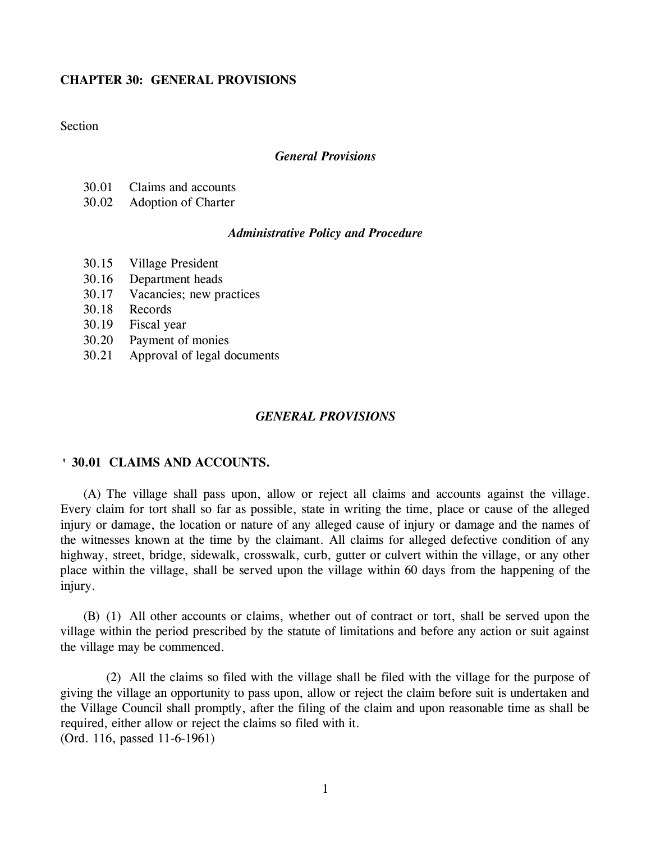# **CHAPTER 30: GENERAL PROVISIONS**

# **Section**

#### *General Provisions*

- 30.01 Claims and accounts
- 30.02 Adoption of Charter

### *Administrative Policy and Procedure*

- 30.15 Village President
- 30.16 Department heads
- 30.17 Vacancies; new practices
- 30.18 Records
- 30.19 Fiscal year
- 30.20 Payment of monies
- 30.21 Approval of legal documents

# *GENERAL PROVISIONS*

### **' 30.01 CLAIMS AND ACCOUNTS.**

(A) The village shall pass upon, allow or reject all claims and accounts against the village. Every claim for tort shall so far as possible, state in writing the time, place or cause of the alleged injury or damage, the location or nature of any alleged cause of injury or damage and the names of the witnesses known at the time by the claimant. All claims for alleged defective condition of any highway, street, bridge, sidewalk, crosswalk, curb, gutter or culvert within the village, or any other place within the village, shall be served upon the village within 60 days from the happening of the injury.

(B) (1) All other accounts or claims, whether out of contract or tort, shall be served upon the village within the period prescribed by the statute of limitations and before any action or suit against the village may be commenced.

(2) All the claims so filed with the village shall be filed with the village for the purpose of giving the village an opportunity to pass upon, allow or reject the claim before suit is undertaken and the Village Council shall promptly, after the filing of the claim and upon reasonable time as shall be required, either allow or reject the claims so filed with it. (Ord. 116, passed 11-6-1961)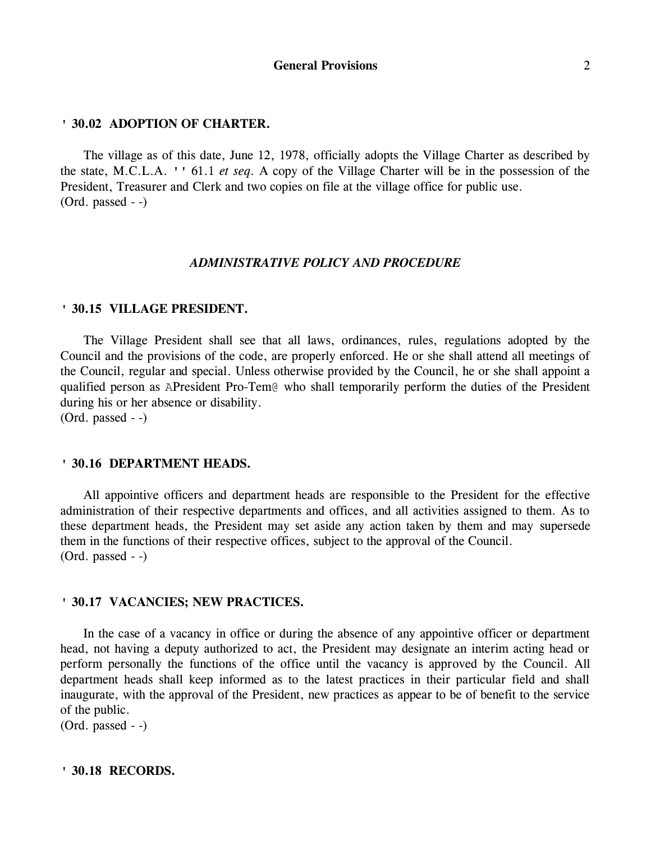#### **' 30.02 ADOPTION OF CHARTER.**

The village as of this date, June 12, 1978, officially adopts the Village Charter as described by the state, M.C.L.A. '' 61.1 *et seq*. A copy of the Village Charter will be in the possession of the President, Treasurer and Clerk and two copies on file at the village office for public use. (Ord. passed - -)

#### *ADMINISTRATIVE POLICY AND PROCEDURE*

#### **' 30.15 VILLAGE PRESIDENT.**

The Village President shall see that all laws, ordinances, rules, regulations adopted by the Council and the provisions of the code, are properly enforced. He or she shall attend all meetings of the Council, regular and special. Unless otherwise provided by the Council, he or she shall appoint a qualified person as APresident Pro-Tem@ who shall temporarily perform the duties of the President during his or her absence or disability.

(Ord. passed - -)

#### **' 30.16 DEPARTMENT HEADS.**

All appointive officers and department heads are responsible to the President for the effective administration of their respective departments and offices, and all activities assigned to them. As to these department heads, the President may set aside any action taken by them and may supersede them in the functions of their respective offices, subject to the approval of the Council. (Ord. passed - -)

#### **' 30.17 VACANCIES; NEW PRACTICES.**

In the case of a vacancy in office or during the absence of any appointive officer or department head, not having a deputy authorized to act, the President may designate an interim acting head or perform personally the functions of the office until the vacancy is approved by the Council. All department heads shall keep informed as to the latest practices in their particular field and shall inaugurate, with the approval of the President, new practices as appear to be of benefit to the service of the public.

(Ord. passed - -)

# **' 30.18 RECORDS.**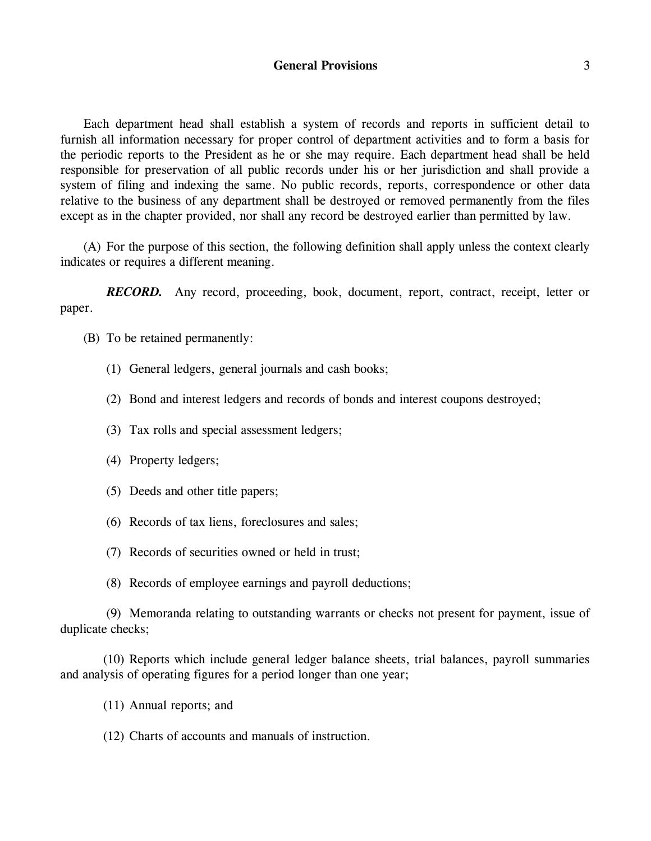# **General Provisions** 3

Each department head shall establish a system of records and reports in sufficient detail to furnish all information necessary for proper control of department activities and to form a basis for the periodic reports to the President as he or she may require. Each department head shall be held responsible for preservation of all public records under his or her jurisdiction and shall provide a system of filing and indexing the same. No public records, reports, correspondence or other data relative to the business of any department shall be destroyed or removed permanently from the files except as in the chapter provided, nor shall any record be destroyed earlier than permitted by law.

(A) For the purpose of this section, the following definition shall apply unless the context clearly indicates or requires a different meaning.

*RECORD.* Any record, proceeding, book, document, report, contract, receipt, letter or paper.

(B) To be retained permanently:

- (1) General ledgers, general journals and cash books;
- (2) Bond and interest ledgers and records of bonds and interest coupons destroyed;
- (3) Tax rolls and special assessment ledgers;
- (4) Property ledgers;
- (5) Deeds and other title papers;
- (6) Records of tax liens, foreclosures and sales;
- (7) Records of securities owned or held in trust;
- (8) Records of employee earnings and payroll deductions;

(9) Memoranda relating to outstanding warrants or checks not present for payment, issue of duplicate checks;

(10) Reports which include general ledger balance sheets, trial balances, payroll summaries and analysis of operating figures for a period longer than one year;

- (11) Annual reports; and
- (12) Charts of accounts and manuals of instruction.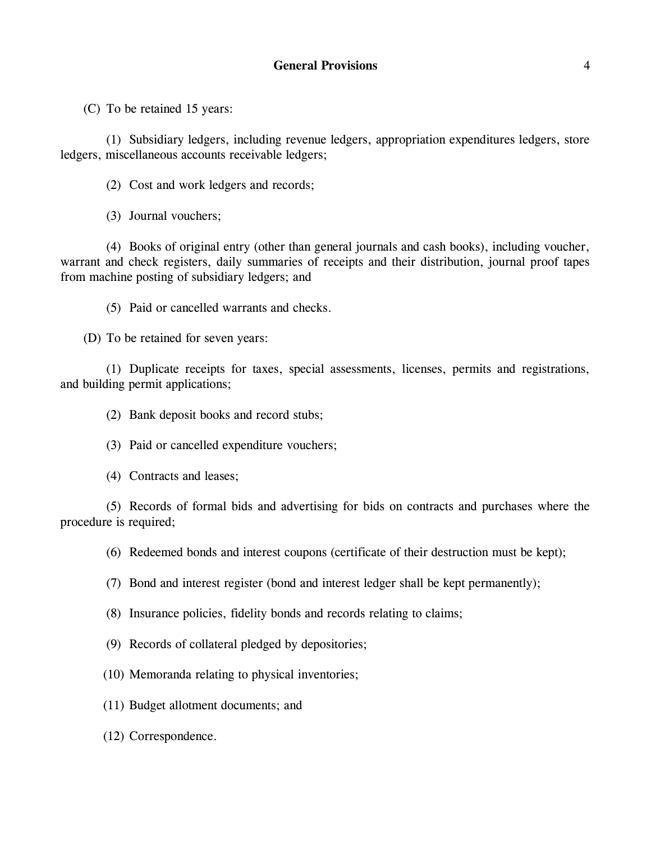(C) To be retained 15 years:

(1) Subsidiary ledgers, including revenue ledgers, appropriation expenditures ledgers, store ledgers, miscellaneous accounts receivable ledgers;

(2) Cost and work ledgers and records;

(3) Journal vouchers;

(4) Books of original entry (other than general journals and cash books), including voucher, warrant and check registers, daily summaries of receipts and their distribution, journal proof tapes from machine posting of subsidiary ledgers; and

(5) Paid or cancelled warrants and checks.

(D) To be retained for seven years:

(1) Duplicate receipts for taxes, special assessments, licenses, permits and registrations, and building permit applications;

(2) Bank deposit books and record stubs;

(3) Paid or cancelled expenditure vouchers;

(4) Contracts and leases;

(5) Records of formal bids and advertising for bids on contracts and purchases where the procedure is required;

(6) Redeemed bonds and interest coupons (certificate of their destruction must be kept);

(7) Bond and interest register (bond and interest ledger shall be kept permanently);

(8) Insurance policies, fidelity bonds and records relating to claims;

(9) Records of collateral pledged by depositories;

(10) Memoranda relating to physical inventories;

(11) Budget allotment documents; and

(12) Correspondence.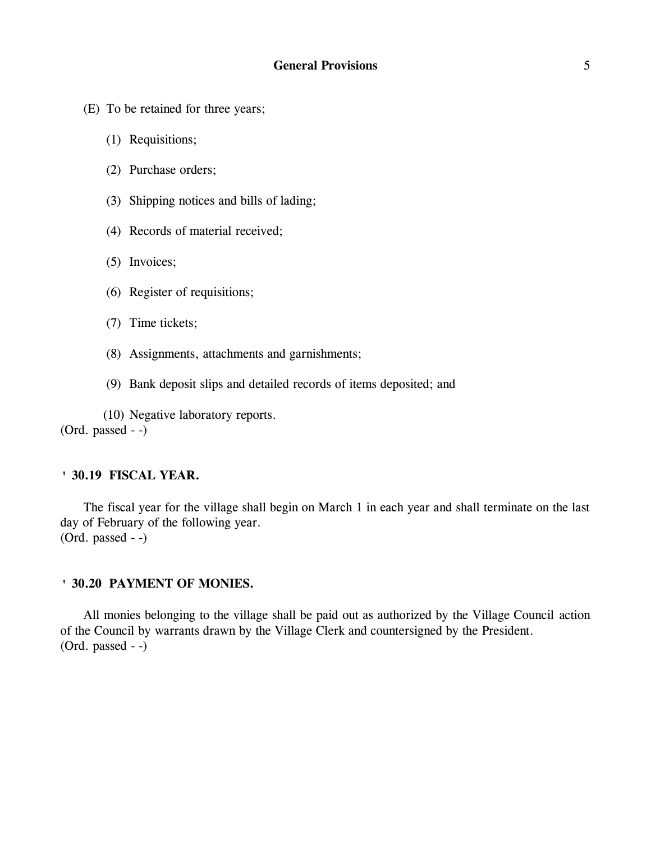- (E) To be retained for three years;
	- (1) Requisitions;
	- (2) Purchase orders;
	- (3) Shipping notices and bills of lading;
	- (4) Records of material received;
	- (5) Invoices;
	- (6) Register of requisitions;
	- (7) Time tickets;
	- (8) Assignments, attachments and garnishments;
	- (9) Bank deposit slips and detailed records of items deposited; and

(10) Negative laboratory reports. (Ord. passed - -)

## **' 30.19 FISCAL YEAR.**

The fiscal year for the village shall begin on March 1 in each year and shall terminate on the last day of February of the following year. (Ord. passed - -)

### **' 30.20 PAYMENT OF MONIES.**

All monies belonging to the village shall be paid out as authorized by the Village Council action of the Council by warrants drawn by the Village Clerk and countersigned by the President. (Ord. passed - -)